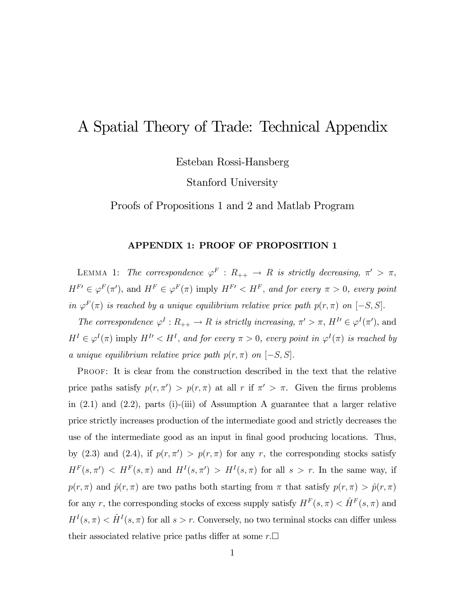## A Spatial Theory of Trade: Technical Appendix

Esteban Rossi-Hansberg

Stanford University

Proofs of Propositions 1 and 2 and Matlab Program

## APPENDIX 1: PROOF OF PROPOSITION 1

LEMMA 1: The correspondence  $\varphi^F : R_{++} \to R$  is strictly decreasing,  $\pi' > \pi$ ,  $H^{F} \in \varphi^F(\pi'),$  and  $H^F \in \varphi^F(\pi)$  imply  $H^{F} \leq H^F$ , and for every  $\pi > 0$ , every point in  $\varphi^F(\pi)$  is reached by a unique equilibrium relative price path  $p(r,\pi)$  on  $[-S, S]$ .

The correspondence  $\varphi^I : R_{++} \to R$  is strictly increasing,  $\pi' > \pi$ ,  $H^I \in \varphi^I(\pi')$ , and  $H^I \in \varphi^I(\pi)$  imply  $H^{I'} < H^I$ , and for every  $\pi > 0$ , every point in  $\varphi^I(\pi)$  is reached by a unique equilibrium relative price path  $p(r, \pi)$  on  $[-S, S]$ .

Proof: It is clear from the construction described in the text that the relative price paths satisfy  $p(r, \pi') > p(r, \pi)$  at all r if  $\pi' > \pi$ . Given the firms problems in (2.1) and (2.2), parts (i)-(iii) of Assumption A guarantee that a larger relative price strictly increases production of the intermediate good and strictly decreases the use of the intermediate good as an input in final good producing locations. Thus, by (2.3) and (2.4), if  $p(r, \pi') > p(r, \pi)$  for any r, the corresponding stocks satisfy  $H^F(s, \pi') < H^F(s, \pi)$  and  $H^I(s, \pi') > H^I(s, \pi)$  for all  $s > r$ . In the same way, if  $p(r,\pi)$  and  $\hat{p}(r,\pi)$  are two paths both starting from  $\pi$  that satisfy  $p(r,\pi) > \hat{p}(r,\pi)$ for any r, the corresponding stocks of excess supply satisfy  $H^F(s,\pi) < \hat{H}^F(s,\pi)$  and  $H^I(s,\pi) < \hat{H}^I(s,\pi)$  for all  $s > r$ . Conversely, no two terminal stocks can differ unless their associated relative price paths differ at some  $r.\Box$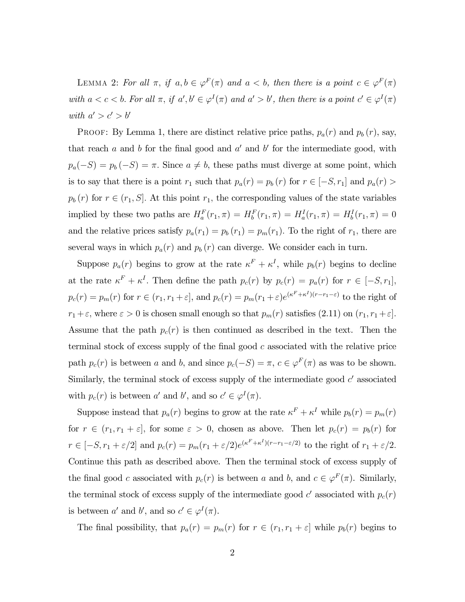LEMMA 2: For all  $\pi$ , if  $a, b \in \varphi^F(\pi)$  and  $a < b$ , then there is a point  $c \in \varphi^F(\pi)$ with  $a < c < b$ . For all  $\pi$ , if  $a', b' \in \varphi^{I}(\pi)$  and  $a' > b'$ , then there is a point  $c' \in \varphi^{I}(\pi)$ with  $a' > c' > b'$ 

PROOF: By Lemma 1, there are distinct relative price paths,  $p_a(r)$  and  $p_b(r)$ , say, that reach a and b for the final good and  $a'$  and b' for the intermediate good, with  $p_a(-S) = p_b(-S) = \pi$ . Since  $a \neq b$ , these paths must diverge at some point, which is to say that there is a point  $r_1$  such that  $p_a(r) = p_b(r)$  for  $r \in [-S, r_1]$  and  $p_a(r) >$  $p_b(r)$  for  $r \in (r_1, S]$ . At this point  $r_1$ , the corresponding values of the state variables implied by these two paths are  $H_a^F(r_1, \pi) = H_b^F(r_1, \pi) = H_a^I(r_1, \pi) = H_b^I(r_1, \pi) = 0$ and the relative prices satisfy  $p_a(r_1) = p_b(r_1) = p_m(r_1)$ . To the right of  $r_1$ , there are several ways in which  $p_a(r)$  and  $p_b(r)$  can diverge. We consider each in turn.

Suppose  $p_a(r)$  begins to grow at the rate  $\kappa^F + \kappa^I$ , while  $p_b(r)$  begins to decline at the rate  $\kappa^F + \kappa^I$ . Then define the path  $p_c(r)$  by  $p_c(r) = p_a(r)$  for  $r \in [-S, r_1]$ ,  $p_c(r) = p_m(r)$  for  $r \in (r_1, r_1 + \varepsilon]$ , and  $p_c(r) = p_m(r_1 + \varepsilon)e^{(\kappa F + \kappa I)(r - r_1 - \varepsilon)}$  to the right of  $r_1 + \varepsilon$ , where  $\varepsilon > 0$  is chosen small enough so that  $p_m(r)$  satisfies  $(2.11)$  on  $(r_1, r_1 + \varepsilon]$ . Assume that the path  $p_c(r)$  is then continued as described in the text. Then the terminal stock of excess supply of the final good  $c$  associated with the relative price path  $p_c(r)$  is between a and b, and since  $p_c(-S) = \pi$ ,  $c \in \varphi^F(\pi)$  as was to be shown. Similarly, the terminal stock of excess supply of the intermediate good  $c'$  associated with  $p_c(r)$  is between a' and b', and so  $c' \in \varphi^I(\pi)$ .

Suppose instead that  $p_a(r)$  begins to grow at the rate  $\kappa^F + \kappa^I$  while  $p_b(r) = p_m(r)$ for  $r \in (r_1, r_1 + \varepsilon]$ , for some  $\varepsilon > 0$ , chosen as above. Then let  $p_c(r) = p_b(r)$  for  $r \in [-S, r_1 + \varepsilon/2]$  and  $p_c(r) = p_m(r_1 + \varepsilon/2)e^{(\kappa^F + \kappa^I)(r - r_1 - \varepsilon/2)}$  to the right of  $r_1 + \varepsilon/2$ . Continue this path as described above. Then the terminal stock of excess supply of the final good c associated with  $p_c(r)$  is between a and b, and  $c \in \varphi^F(\pi)$ . Similarly, the terminal stock of excess supply of the intermediate good  $c'$  associated with  $p_c(r)$ is between  $a'$  and  $b'$ , and so  $c' \in \varphi^I(\pi)$ .

The final possibility, that  $p_a(r) = p_m(r)$  for  $r \in (r_1, r_1 + \varepsilon]$  while  $p_b(r)$  begins to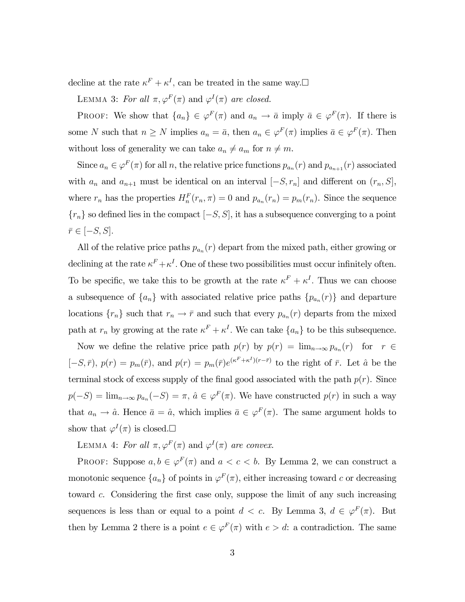decline at the rate  $\kappa^F + \kappa^I$ , can be treated in the same way. $\Box$ 

LEMMA 3: For all  $\pi, \varphi^F(\pi)$  and  $\varphi^I(\pi)$  are closed.

PROOF: We show that  $\{a_n\} \in \varphi^F(\pi)$  and  $a_n \to \bar{a}$  imply  $\bar{a} \in \varphi^F(\pi)$ . If there is some N such that  $n \geq N$  implies  $a_n = \bar{a}$ , then  $a_n \in \varphi^F(\pi)$  implies  $\bar{a} \in \varphi^F(\pi)$ . Then without loss of generality we can take  $a_n \neq a_m$  for  $n \neq m$ .

Since  $a_n \in \varphi^F(\pi)$  for all n, the relative price functions  $p_{a_n}(r)$  and  $p_{a_{n+1}}(r)$  associated with  $a_n$  and  $a_{n+1}$  must be identical on an interval  $[-S, r_n]$  and different on  $(r_n, S]$ , where  $r_n$  has the properties  $H_n^F(r_n, \pi) = 0$  and  $p_{a_n}(r_n) = p_m(r_n)$ . Since the sequence  ${r_n}$  so defined lies in the compact  $[-S, S]$ , it has a subsequence converging to a point  $\bar{r} \in [-S, S].$ 

All of the relative price paths  $p_{a_n}(r)$  depart from the mixed path, either growing or declining at the rate  $\kappa^F + \kappa^I$ . One of these two possibilities must occur infinitely often. To be specific, we take this to be growth at the rate  $\kappa^F + \kappa^I$ . Thus we can choose a subsequence of  $\{a_n\}$  with associated relative price paths  $\{p_{a_n}(r)\}\$  and departure locations  $\{r_n\}$  such that  $r_n \to \bar{r}$  and such that every  $p_{a_n}(r)$  departs from the mixed path at  $r_n$  by growing at the rate  $\kappa^F + \kappa^I$ . We can take  $\{a_n\}$  to be this subsequence.

Now we define the relative price path  $p(r)$  by  $p(r) = \lim_{n\to\infty} p_{a_n}(r)$  for  $r \in$  $[-S,\bar{r}), p(r) = p_m(\bar{r}),$  and  $p(r) = p_m(\bar{r})e^{(\kappa F + \kappa I)(r - \bar{r})}$  to the right of  $\bar{r}$ . Let  $\hat{a}$  be the terminal stock of excess supply of the final good associated with the path  $p(r)$ . Since  $p(-S) = \lim_{n \to \infty} p_{a_n}(-S) = \pi$ ,  $\hat{a} \in \varphi^F(\pi)$ . We have constructed  $p(r)$  in such a way that  $a_n \to \hat{a}$ . Hence  $\bar{a} = \hat{a}$ , which implies  $\bar{a} \in \varphi^F(\pi)$ . The same argument holds to show that  $\varphi^I(\pi)$  is closed. $\Box$ 

LEMMA 4: For all  $\pi, \varphi^F(\pi)$  and  $\varphi^I(\pi)$  are convex.

PROOF: Suppose  $a, b \in \varphi^F(\pi)$  and  $a < c < b$ . By Lemma 2, we can construct a monotonic sequence  $\{a_n\}$  of points in  $\varphi^F(\pi)$ , either increasing toward c or decreasing toward c. Considering the first case only, suppose the limit of any such increasing sequences is less than or equal to a point  $d < c$ . By Lemma 3,  $d \in \varphi^F(\pi)$ . But then by Lemma 2 there is a point  $e \in \varphi^F(\pi)$  with  $e > d$ : a contradiction. The same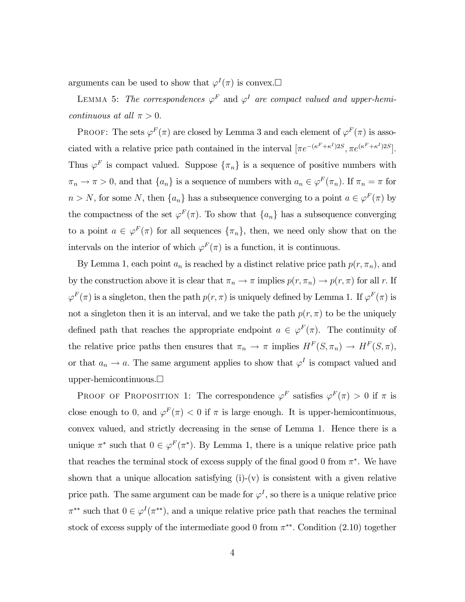arguments can be used to show that  $\varphi^I(\pi)$  is convex. $\Box$ 

LEMMA 5: The correspondences  $\varphi^F$  and  $\varphi^I$  are compact valued and upper-hemicontinuous at all  $\pi > 0$ .

PROOF: The sets  $\varphi^F(\pi)$  are closed by Lemma 3 and each element of  $\varphi^F(\pi)$  is associated with a relative price path contained in the interval  $[\pi e^{-(\kappa^F + \kappa^I)2S}, \pi e^{(\kappa^F + \kappa^I)2S}]$ . Thus  $\varphi^F$  is compact valued. Suppose  $\{\pi_n\}$  is a sequence of positive numbers with  $\pi_n \to \pi > 0$ , and that  $\{a_n\}$  is a sequence of numbers with  $a_n \in \varphi^F(\pi_n)$ . If  $\pi_n = \pi$  for  $n>N$ , for some N, then  ${a_n}$  has a subsequence converging to a point  $a \in \varphi^F(\pi)$  by the compactness of the set  $\varphi^F(\pi)$ . To show that  $\{a_n\}$  has a subsequence converging to a point  $a \in \varphi^F(\pi)$  for all sequences  $\{\pi_n\}$ , then, we need only show that on the intervals on the interior of which  $\varphi^F(\pi)$  is a function, it is continuous.

By Lemma 1, each point  $a_n$  is reached by a distinct relative price path  $p(r, \pi_n)$ , and by the construction above it is clear that  $\pi_n \to \pi$  implies  $p(r, \pi_n) \to p(r, \pi)$  for all r. If  $\varphi^F(\pi)$  is a singleton, then the path  $p(r,\pi)$  is uniquely defined by Lemma 1. If  $\varphi^F(\pi)$  is not a singleton then it is an interval, and we take the path  $p(r, \pi)$  to be the uniquely defined path that reaches the appropriate endpoint  $a \in \varphi^F(\pi)$ . The continuity of the relative price paths then ensures that  $\pi_n \to \pi$  implies  $H^F(S, \pi_n) \to H^F(S, \pi)$ , or that  $a_n \to a$ . The same argument applies to show that  $\varphi^I$  is compact valued and upper-hemicontinuous. $\Box$ 

PROOF OF PROPOSITION 1: The correspondence  $\varphi^F$  satisfies  $\varphi^F(\pi) > 0$  if  $\pi$  is close enough to 0, and  $\varphi^F(\pi) < 0$  if  $\pi$  is large enough. It is upper-hemicontinuous, convex valued, and strictly decreasing in the sense of Lemma 1. Hence there is a unique  $\pi^*$  such that  $0 \in \varphi^F(\pi^*)$ . By Lemma 1, there is a unique relative price path that reaches the terminal stock of excess supply of the final good 0 from  $\pi^*$ . We have shown that a unique allocation satisfying  $(i)-(v)$  is consistent with a given relative price path. The same argument can be made for  $\varphi^I$ , so there is a unique relative price  $\pi^{**}$  such that  $0 \in \varphi^I(\pi^{**})$ , and a unique relative price path that reaches the terminal stock of excess supply of the intermediate good 0 from  $\pi^{**}$ . Condition (2.10) together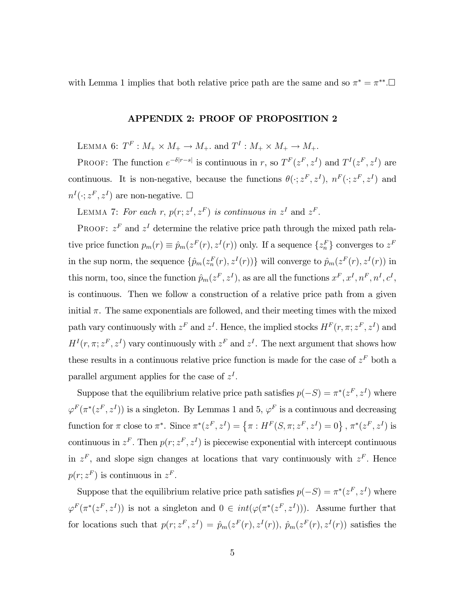with Lemma 1 implies that both relative price path are the same and so  $\pi^* = \pi^{**}$ . $\Box$ 

## APPENDIX 2: PROOF OF PROPOSITION 2

LEMMA 6:  $T^F: M_+ \times M_+ \to M_+$ . and  $T^I: M_+ \times M_+ \to M_+$ .

PROOF: The function  $e^{-\delta|r-s|}$  is continuous in r, so  $T^F(z^F, z^I)$  and  $T^I(z^F, z^I)$  are continuous. It is non-negative, because the functions  $\theta(\cdot; z^F, z^I)$ ,  $n^F(\cdot; z^F, z^I)$  and  $n^I(\cdot; z^F, z^I)$  are non-negative.  $\Box$ 

LEMMA 7: For each r,  $p(r; z<sup>I</sup>, z<sup>F</sup>)$  is continuous in  $z<sup>I</sup>$  and  $z<sup>F</sup>$ .

PROOF:  $z<sup>F</sup>$  and  $z<sup>I</sup>$  determine the relative price path through the mixed path relative price function  $p_m(r) \equiv \hat{p}_m(z^F(r), z^I(r))$  only. If a sequence  $\{z_n^F\}$  converges to  $z^F$ in the sup norm, the sequence  $\{\hat{p}_m(z_n^F(r), z^I(r))\}$  will converge to  $\hat{p}_m(z^F(r), z^I(r))$  in this norm, too, since the function  $\hat{p}_m(z^F, z^I)$ , as are all the functions  $x^F, x^I, n^F, n^I, c^I$ , is continuous. Then we follow a construction of a relative price path from a given initial  $\pi$ . The same exponentials are followed, and their meeting times with the mixed path vary continuously with  $z^F$  and  $z^I$ . Hence, the implied stocks  $H^F(r, \pi; z^F, z^I)$  and  $H^I(r, \pi; z^F, z^I)$  vary continuously with  $z^F$  and  $z^I$ . The next argument that shows how these results in a continuous relative price function is made for the case of  $z<sup>F</sup>$  both a parallel argument applies for the case of  $z<sup>I</sup>$ .

Suppose that the equilibrium relative price path satisfies  $p(-S) = \pi^*(z^F, z^I)$  where  $\varphi^F(\pi^*(z^F, z^I))$  is a singleton. By Lemmas 1 and 5,  $\varphi^F$  is a continuous and decreasing function for  $\pi$  close to  $\pi^*$ . Since  $\pi^*(z^F, z^I) = {\pi : H^F(S, \pi; z^F, z^I) = 0}$ ,  $\pi^*(z^F, z^I)$  is continuous in  $z^F$ . Then  $p(r; z^F, z^I)$  is piecewise exponential with intercept continuous in  $z<sup>F</sup>$ , and slope sign changes at locations that vary continuously with  $z<sup>F</sup>$ . Hence  $p(r; z<sup>F</sup>)$  is continuous in  $z<sup>F</sup>$ .

Suppose that the equilibrium relative price path satisfies  $p(-S) = \pi^*(z^F, z^I)$  where  $\varphi^F(\pi^*(z^F, z^I))$  is not a singleton and  $0 \in int(\varphi(\pi^*(z^F, z^I)))$ . Assume further that for locations such that  $p(r; z^F, z^I) = \hat{p}_m(z^F(r), z^I(r))$ ,  $\hat{p}_m(z^F(r), z^I(r))$  satisfies the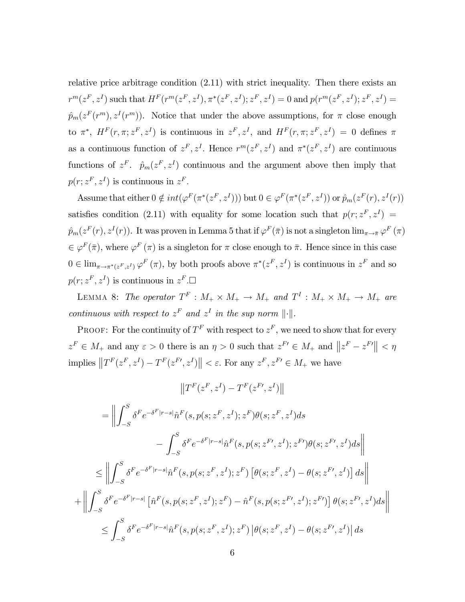relative price arbitrage condition (2.11) with strict inequality. Then there exists an  $r^m(z^F, z^I)$  such that  $H^F(r^m(z^F, z^I), \pi^*(z^F, z^I); z^F, z^I) = 0$  and  $p(r^m(z^F, z^I); z^F, z^I) = 0$  $\hat{p}_m(z^F(r^m), z^I(r^m))$ . Notice that under the above assumptions, for  $\pi$  close enough to  $\pi^*$ ,  $H^F(r, \pi; z^F, z^I)$  is continuous in  $z^F, z^I$ , and  $H^F(r, \pi; z^F, z^I) = 0$  defines  $\pi$ as a continuous function of  $z^F, z^I$ . Hence  $r^m(z^F, z^I)$  and  $\pi^*(z^F, z^I)$  are continuous functions of  $z^F$ .  $\hat{p}_m(z^F, z^I)$  continuous and the argument above then imply that  $p(r; z<sup>F</sup>, z<sup>I</sup>)$  is continuous in  $z<sup>F</sup>$ .

Assume that either  $0 \notin int(\varphi^F(\pi^*(z^F, z^I)))$  but  $0 \in \varphi^F(\pi^*(z^F, z^I))$  or  $\hat{p}_m(z^F(r), z^I(r))$ satisfies condition (2.11) with equality for some location such that  $p(r; z^F, z^I)$  $\hat{p}_m(z^F(r), z^I(r))$ . It was proven in Lemma 5 that if  $\varphi^F(\bar{\pi})$  is not a singleton  $\lim_{\pi\to\bar{\pi}}\varphi^F(\pi)$  $\in \varphi^F(\bar{\pi})$ , where  $\varphi^F(\pi)$  is a singleton for  $\pi$  close enough to  $\bar{\pi}$ . Hence since in this case  $0 \in \lim_{\pi \to \pi^*(z^F, z^I)} \varphi^F(\pi)$ , by both proofs above  $\pi^*(z^F, z^I)$  is continuous in  $z^F$  and so  $p(r; z<sup>F</sup>, z<sup>I</sup>)$  is continuous in  $z<sup>F</sup>$ .

LEMMA 8: The operator  $T^F : M_+ \times M_+ \to M_+$  and  $T^I : M_+ \times M_+ \to M_+$  are continuous with respect to  $z<sup>F</sup>$  and  $z<sup>I</sup>$  in the sup norm  $\|\cdot\|$ .

PROOF: For the continuity of  $T^F$  with respect to  $z^F$ , we need to show that for every  $z^F \in M_+$  and any  $\varepsilon > 0$  there is an  $\eta > 0$  such that  $z^{F'} \in M_+$  and  $||z^F - z^{F'}|| < \eta$ implies  $||T^F(z^F, z^I) - T^F(z^{F\prime}, z^I)|| < \varepsilon$ . For any  $z^F, z^{F\prime} \in M_+$  we have

$$
||T^{F}(z^{F}, z^{I}) - T^{F}(z^{F}, z^{I})||
$$
  
\n
$$
= \left\| \int_{-S}^{S} \delta^{F} e^{-\delta^{F}|r-s|} \hat{n}^{F}(s, p(s; z^{F}, z^{I}); z^{F}) \theta(s; z^{F}, z^{I}) ds - \int_{-S}^{S} \delta^{F} e^{-\delta^{F}|r-s|} \hat{n}^{F}(s, p(s; z^{F}, z^{I}); z^{F}) \theta(s; z^{F}, z^{I}) ds \right\|
$$
  
\n
$$
\leq \left\| \int_{-S}^{S} \delta^{F} e^{-\delta^{F}|r-s|} \hat{n}^{F}(s, p(s; z^{F}, z^{I}); z^{F}) \left[ \theta(s; z^{F}, z^{I}) - \theta(s; z^{F}, z^{I}) \right] ds \right\|
$$
  
\n
$$
+ \left\| \int_{-S}^{S} \delta^{F} e^{-\delta^{F}|r-s|} \left[ \hat{n}^{F}(s, p(s; z^{F}, z^{I}); z^{F}) - \hat{n}^{F}(s, p(s; z^{F}, z^{I}); z^{F}) \right] \theta(s; z^{F}, z^{I}) ds \right\|
$$
  
\n
$$
\leq \int_{-S}^{S} \delta^{F} e^{-\delta^{F}|r-s|} \hat{n}^{F}(s, p(s; z^{F}, z^{I}); z^{F}) \left[ \theta(s; z^{F}, z^{I}) - \theta(s; z^{F}, z^{I}) \right] ds
$$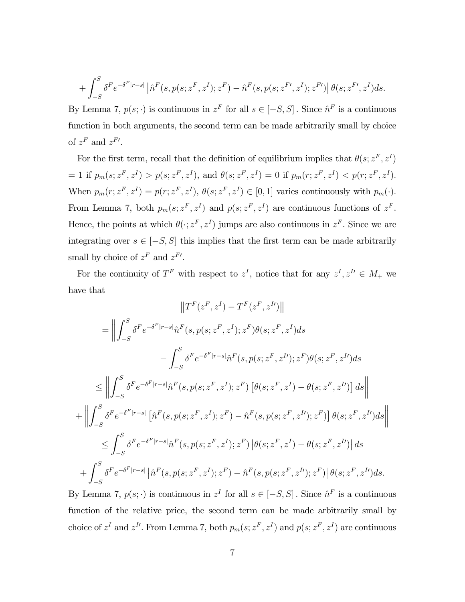$$
+ \int_{-S}^{S} \delta^{F} e^{-\delta^{F}|r-s|} \left| \hat{n}^{F}(s, p(s; z^{F}, z^{I}); z^{F}) - \hat{n}^{F}(s, p(s; z^{F\prime}, z^{I}); z^{F\prime}) \right| \theta(s; z^{F\prime}, z^{I}) ds.
$$

By Lemma 7,  $p(s; \cdot)$  is continuous in  $z^F$  for all  $s \in [-S, S]$ . Since  $\hat{n}^F$  is a continuous function in both arguments, the second term can be made arbitrarily small by choice of  $z^F$  and  $z^{F'}$ .

For the first term, recall that the definition of equilibrium implies that  $\theta(s; z^F, z^I)$ = 1 if  $p_m(s; z^F, z^I) > p(s; z^F, z^I)$ , and  $\theta(s; z^F, z^I) = 0$  if  $p_m(r; z^F, z^I) < p(r; z^F, z^I)$ . When  $p_m(r; z^F, z^I) = p(r; z^F, z^I)$ ,  $\theta(s; z^F, z^I) \in [0, 1]$  varies continuously with  $p_m(\cdot)$ . From Lemma 7, both  $p_m(s; z^F, z^I)$  and  $p(s; z^F, z^I)$  are continuous functions of  $z^F$ . Hence, the points at which  $\theta(\cdot; z^F, z^I)$  jumps are also continuous in  $z^F$ . Since we are integrating over  $s \in [-S, S]$  this implies that the first term can be made arbitrarily small by choice of  $z^F$  and  $z^{F'}$ .

For the continuity of  $T^F$  with respect to  $z^I$ , notice that for any  $z^I, z^{I\prime} \in M_+$  we have that

$$
||T^{F}(z^{F}, z^{I}) - T^{F}(z^{F}, z^{I})||
$$
\n
$$
= \left\| \int_{-S}^{S} \delta^{F} e^{-\delta^{F}|r-s|} \hat{n}^{F}(s, p(s; z^{F}, z^{I}); z^{F}) \theta(s; z^{F}, z^{I}) ds - \int_{-S}^{S} \delta^{F} e^{-\delta^{F}|r-s|} \hat{n}^{F}(s, p(s; z^{F}, z^{I}); z^{F}) \theta(s; z^{F}, z^{I}) ds \right\|
$$
\n
$$
\leq \left\| \int_{-S}^{S} \delta^{F} e^{-\delta^{F}|r-s|} \hat{n}^{F}(s, p(s; z^{F}, z^{I}); z^{F}) \left[ \theta(s; z^{F}, z^{I}) - \theta(s; z^{F}, z^{I}) \right] ds \right\|
$$
\n
$$
+ \left\| \int_{-S}^{S} \delta^{F} e^{-\delta^{F}|r-s|} \left[ \hat{n}^{F}(s, p(s; z^{F}, z^{I}); z^{F}) - \hat{n}^{F}(s, p(s; z^{F}, z^{I}); z^{F}) \right] \theta(s; z^{F}, z^{I}) ds \right\|
$$
\n
$$
\leq \int_{-S}^{S} \delta^{F} e^{-\delta^{F}|r-s|} \hat{n}^{F}(s, p(s; z^{F}, z^{I}); z^{F}) \left[ \theta(s; z^{F}, z^{I}) - \theta(s; z^{F}, z^{I}) \right] ds
$$
\n
$$
+ \int_{-S}^{S} \delta^{F} e^{-\delta^{F}|r-s|} \left| \hat{n}^{F}(s, p(s; z^{F}, z^{I}); z^{F}) - \hat{n}^{F}(s, p(s; z^{F}, z^{I}); z^{F}) \right| \theta(s; z^{F}, z^{I}) ds.
$$

By Lemma 7,  $p(s; \cdot)$  is continuous in  $z<sup>I</sup>$  for all  $s \in [-S, S]$ . Since  $\hat{n}^F$  is a continuous function of the relative price, the second term can be made arbitrarily small by choice of  $z^I$  and  $z^{I'}$ . From Lemma 7, both  $p_m(s; z^F, z^I)$  and  $p(s; z^F, z^I)$  are continuous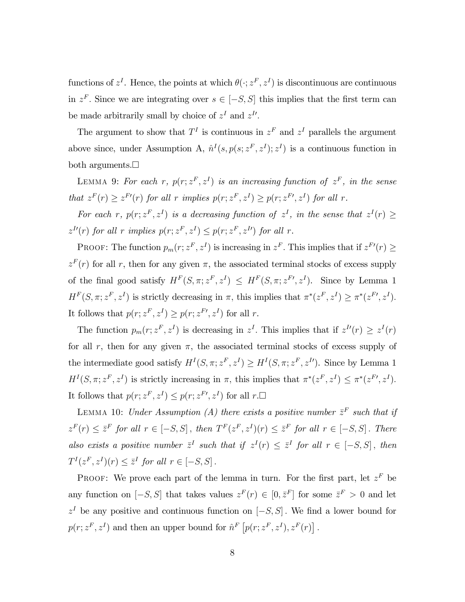functions of  $z^I$ . Hence, the points at which  $\theta(\cdot; z^F, z^I)$  is discontinuous are continuous in  $z^F$ . Since we are integrating over  $s \in [-S, S]$  this implies that the first term can be made arbitrarily small by choice of  $z<sup>I</sup>$  and  $z<sup>I</sup>$ .

The argument to show that  $T<sup>I</sup>$  is continuous in  $z<sup>F</sup>$  and  $z<sup>I</sup>$  parallels the argument above since, under Assumption A,  $\hat{n}^{I}(s, p(s; z^{F}, z^{I}); z^{I})$  is a continuous function in both arguments. $\Box$ 

LEMMA 9: For each r,  $p(r; z^F, z^I)$  is an increasing function of  $z^F$ , in the sense that  $z^{F}(r) \geq z^{F'}(r)$  for all r implies  $p(r; z^{F}, z^{I}) \geq p(r; z^{F'}, z^{I})$  for all r.

For each r,  $p(r; z^F, z^I)$  is a decreasing function of  $z^I$ , in the sense that  $z^I(r) \geq$  $z^{I\prime}(r)$  for all r implies  $p(r; z^F, z^I) \leq p(r; z^F, z^I)$  for all r.

PROOF: The function  $p_m(r; z^F, z^I)$  is increasing in  $z^F$ . This implies that if  $z^{F'}(r) \geq$  $z<sup>F</sup>(r)$  for all r, then for any given  $\pi$ , the associated terminal stocks of excess supply of the final good satisfy  $H^F(S, \pi; z^F, z^I) \leq H^F(S, \pi; z^F, z^I)$ . Since by Lemma 1  $H^F(S, \pi; z^F, z^I)$  is strictly decreasing in  $\pi$ , this implies that  $\pi^*(z^F, z^I) \geq \pi^*(z^{F\prime}, z^I)$ . It follows that  $p(r; z^F, z^I) \geq p(r; z^{F\prime}, z^I)$  for all r.

The function  $p_m(r; z^F, z^I)$  is decreasing in  $z^I$ . This implies that if  $z^{I\prime}(r) \geq z^I(r)$ for all r, then for any given  $\pi$ , the associated terminal stocks of excess supply of the intermediate good satisfy  $H^I(S, \pi; z^F, z^I) \geq H^I(S, \pi; z^F, z^I)$ . Since by Lemma 1  $H<sup>I</sup>(S, \pi; z<sup>F</sup>, z<sup>I</sup>)$  is strictly increasing in  $\pi$ , this implies that  $\pi^*(z<sup>F</sup>, z<sup>I</sup>) \leq \pi^*(z<sup>F</sup>, z<sup>I</sup>).$ It follows that  $p(r; z^F, z^I) \leq p(r; z^{F\prime}, z^I)$  for all  $r.\Box$ 

LEMMA 10: Under Assumption (A) there exists a positive number  $\bar{z}^F$  such that if  $z^F(r) \leq \overline{z}^F$  for all  $r \in [-S, S]$ , then  $T^F(z^F, z^I)(r) \leq \overline{z}^F$  for all  $r \in [-S, S]$ . There also exists a positive number  $\bar{z}^I$  such that if  $z^I(r) \leq \bar{z}^I$  for all  $r \in [-S, S]$ , then  $T^I(z^F, z^I)(r) \leq \overline{z}^I$  for all  $r \in [-S, S]$ .

PROOF: We prove each part of the lemma in turn. For the first part, let  $z<sup>F</sup>$  be any function on  $[-S, S]$  that takes values  $z^F(r) \in [0, \bar{z}^F]$  for some  $\bar{z}^F > 0$  and let  $z<sup>I</sup>$  be any positive and continuous function on  $[-S, S]$ . We find a lower bound for  $p(r; z<sup>F</sup>, z<sup>I</sup>)$  and then an upper bound for  $\hat{n}^F[p(r; z<sup>F</sup>, z<sup>I</sup>), z<sup>F</sup>(r)]$ .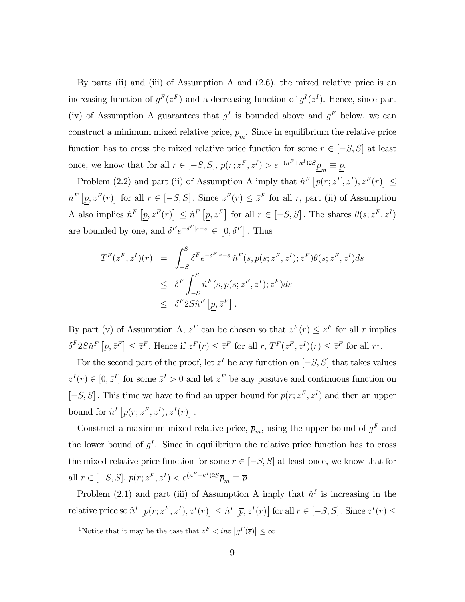By parts (ii) and (iii) of Assumption A and (2.6), the mixed relative price is an increasing function of  $g^F(z^F)$  and a decreasing function of  $g^I(z^I)$ . Hence, since part (iv) of Assumption A guarantees that  $g^I$  is bounded above and  $g^F$  below, we can construct a minimum mixed relative price,  $\underline{p}_m$ . Since in equilibrium the relative price function has to cross the mixed relative price function for some  $r \in [-S, S]$  at least once, we know that for all  $r \in [-S, S]$ ,  $p(r; z^F, z^I) > e^{-(\kappa^F + \kappa^I)2S} \underline{p}_m \equiv \underline{p}$ .

Problem (2.2) and part (ii) of Assumption A imply that  $\hat{n}^F \left[ p(r; z^F, z^I), z^F(r) \right] \leq$  $\hat{n}^F[p, z^F(r)]$  for all  $r \in [-S, S]$ . Since  $z^F(r) \leq \overline{z}^F$  for all r, part (ii) of Assumption A also implies  $\hat{n}^F[p, z^F(r)] \leq \hat{n}^F[p, \bar{z}^F]$  for all  $r \in [-S, S]$ . The shares  $\theta(s; z^F, z^I)$ are bounded by one, and  $\delta^F e^{-\delta^F |r-s|} \in [0, \delta^F]$ . Thus

$$
T^{F}(z^{F}, z^{I})(r) = \int_{-S}^{S} \delta^{F} e^{-\delta^{F}|r-s|} \hat{n}^{F}(s, p(s; z^{F}, z^{I}); z^{F}) \theta(s; z^{F}, z^{I}) ds
$$
  

$$
\leq \delta^{F} \int_{-S}^{S} \hat{n}^{F}(s, p(s; z^{F}, z^{I}); z^{F}) ds
$$
  

$$
\leq \delta^{F} 2S \hat{n}^{F} [\underline{p}, \overline{z}^{F}].
$$

By part (v) of Assumption A,  $\bar{z}^F$  can be chosen so that  $z^F(r) \leq \bar{z}^F$  for all r implies  $\delta^F 2S\hat{n}^F \left[ \underline{p}, \bar{z}^F \right] \leq \bar{z}^F$ . Hence if  $z^F(r) \leq \bar{z}^F$  for all  $r, T^F(z^F, z^I)(r) \leq \bar{z}^F$  for all  $r^1$ .

For the second part of the proof, let  $z<sup>I</sup>$  be any function on  $[-S, S]$  that takes values  $z^{I}(r) \in [0, \bar{z}^{I}]$  for some  $\bar{z}^{I} > 0$  and let  $z^{F}$  be any positive and continuous function on  $[-S, S]$ . This time we have to find an upper bound for  $p(r; z<sup>F</sup>, z<sup>I</sup>)$  and then an upper bound for  $\hat{n}^{I}[p(r;z^{F}, z^{I}), z^{I}(r)]$ .

Construct a maximum mixed relative price,  $\bar{p}_m$ , using the upper bound of  $g^F$  and the lower bound of  $g<sup>I</sup>$ . Since in equilibrium the relative price function has to cross the mixed relative price function for some  $r \in [-S, S]$  at least once, we know that for all  $r \in [-S, S], p(r; z^F, z^I) < e^{(\kappa^F + \kappa^I) 2S} \overline{p}_m \equiv \overline{p}.$ 

Problem (2.1) and part (iii) of Assumption A imply that  $\hat{n}^I$  is increasing in the relative price so  $\hat{n}^{I}[p(r; z^{F}, z^{I}), z^{I}(r)] \leq \hat{n}^{I}[\overline{p}, z^{I}(r)]$  for all  $r \in [-S, S]$ . Since  $z^{I}(r) \leq$ 

<sup>&</sup>lt;sup>1</sup>Notice that it may be the case that  $\bar{z}^F \leq inv[g^F(\bar{z})] \leq \infty$ .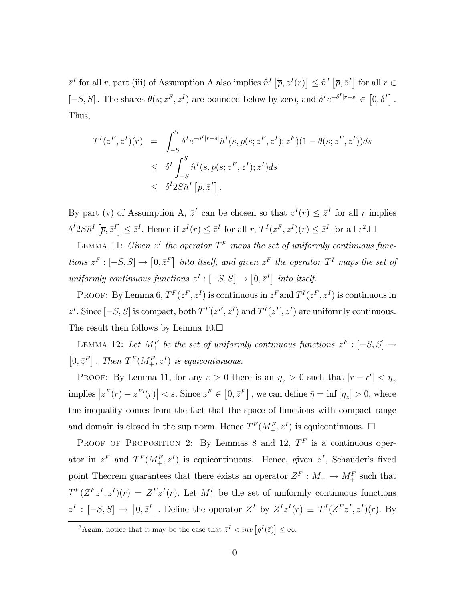$\bar{z}^I$  for all r, part (iii) of Assumption A also implies  $\hat{n}^I\left[\bar{p}, z^I(r)\right] \leq \hat{n}^I\left[\bar{p}, \bar{z}^I\right]$  for all  $r \in$  $[-S, S]$ . The shares  $\theta(s; z^F, z^I)$  are bounded below by zero, and  $\delta^I e^{-\delta^I |r-s|} \in [0, \delta^I]$ . Thus,

$$
TI(zF, zI)(r) = \int_{-S}^{S} \deltaI e^{-\deltaI|r-s|} \hat{n}I(s, p(s; zF, zI); zF)(1 - \theta(s; zF, zI))ds
$$
  

$$
\leq \deltaI \int_{-S}^{S} \hat{n}I(s, p(s; zF, zI); zI)ds
$$
  

$$
\leq \deltaI 2S \hat{n}I [\overline{p}, \overline{z}I].
$$

By part (v) of Assumption A,  $\bar{z}^I$  can be chosen so that  $z^I(r) \leq \bar{z}^I$  for all r implies  $\delta^I 2S \hat{n}^I \left[ \overline{p}, \overline{z}^I \right] \leq \overline{z}^I$ . Hence if  $z^I(r) \leq \overline{z}^I$  for all  $r, T^I (z^F, z^I)(r) \leq \overline{z}^I$  for all  $r^2$ .

LEMMA 11: Given  $z<sup>I</sup>$  the operator  $T<sup>F</sup>$  maps the set of uniformly continuous functions  $z^F : [-S, S] \to [0, \bar{z}^F]$  into itself, and given  $z^F$  the operator  $T^I$  maps the set of uniformly continuous functions  $z^I : [-S, S] \rightarrow [0, \bar{z}^I]$  into itself.

PROOF: By Lemma 6,  $T^F(z^F, z^I)$  is continuous in  $z^F$  and  $T^I(z^F, z^I)$  is continuous in  $z^I$ . Since  $[-S, S]$  is compact, both  $T^F(z^F, z^I)$  and  $T^I(z^F, z^I)$  are uniformly continuous. The result then follows by Lemma  $10.\Box$ 

LEMMA 12: Let  $M^F_+$  be the set of uniformly continuous functions  $z^F: [-S, S] \rightarrow$  $[0, \bar{z}^F]$ . Then  $T^F(M^F_+, z^I)$  is equicontinuous.

PROOF: By Lemma 11, for any  $\varepsilon > 0$  there is an  $\eta_z > 0$  such that  $|r - r'| < \eta_z$ implies  $|z^F(r) - z^{F'}(r)| < \varepsilon$ . Since  $z^F \in [0, \bar{z}^F]$ , we can define  $\bar{\eta} = \inf[\eta_z] > 0$ , where the inequality comes from the fact that the space of functions with compact range and domain is closed in the sup norm. Hence  $T^F(M^F_+, z^I)$  is equicontinuous.  $\Box$ 

PROOF OF PROPOSITION 2: By Lemmas 8 and 12,  $T<sup>F</sup>$  is a continuous operator in  $z^F$  and  $T^F(M_+^F, z^I)$  is equicontinuous. Hence, given  $z^I$ , Schauder's fixed point Theorem guarantees that there exists an operator  $Z^F : M_+ \to M_+^F$  such that  $T^F(Z^Fz^I, z^I)(r) = Z^Fz^I(r)$ . Let  $M^I_+$  be the set of uniformly continuous functions  $z^I : [-S, S] \to [0, \bar{z}^I]$ . Define the operator  $Z^I$  by  $Z^I z^I(r) \equiv T^I (Z^F z^I, z^I)(r)$ . By

<sup>&</sup>lt;sup>2</sup>Again, notice that it may be the case that  $\bar{z}^I \leq inv[g^I(\bar{z})] \leq \infty$ .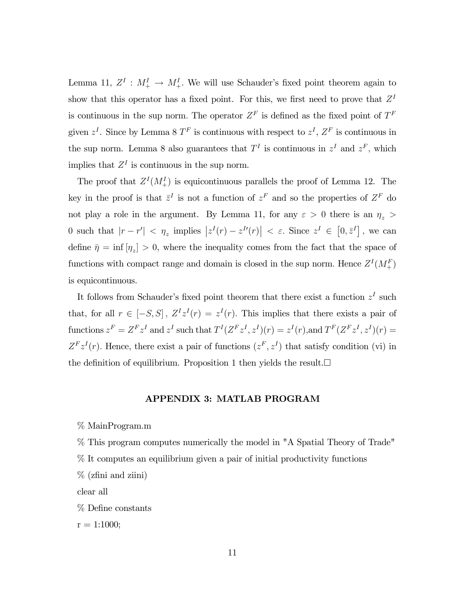Lemma 11,  $Z^I$  :  $M^I_+ \rightarrow M^I_+$ . We will use Schauder's fixed point theorem again to show that this operator has a fixed point. For this, we first need to prove that  $Z<sup>I</sup>$ is continuous in the sup norm. The operator  $Z<sup>F</sup>$  is defined as the fixed point of  $T<sup>F</sup>$ given  $z^I$ . Since by Lemma 8  $T^F$  is continuous with respect to  $z^I$ ,  $Z^F$  is continuous in the sup norm. Lemma 8 also guarantees that  $T<sup>I</sup>$  is continuous in  $z<sup>I</sup>$  and  $z<sup>F</sup>$ , which implies that  $Z<sup>I</sup>$  is continuous in the sup norm.

The proof that  $Z^I(M^I_+)$  is equicontinuous parallels the proof of Lemma 12. The key in the proof is that  $\bar{z}^I$  is not a function of  $z^F$  and so the properties of  $Z^F$  do not play a role in the argument. By Lemma 11, for any  $\varepsilon > 0$  there is an  $\eta_z >$ 0 such that  $|r - r'| < \eta_z$  implies  $|z^I(r) - z^{I'}(r)| < \varepsilon$ . Since  $z^I \in [0, \bar{z}^I]$ , we can define  $\bar{\eta} = \inf [\eta_z] > 0$ , where the inequality comes from the fact that the space of functions with compact range and domain is closed in the sup norm. Hence  $Z^I(M^F_+)$ is equicontinuous.

It follows from Schauder's fixed point theorem that there exist a function  $z^I$  such that, for all  $r \in [-S, S]$ ,  $Z^{I}z^{I}(r) = z^{I}(r)$ . This implies that there exists a pair of functions  $z^F = Z^F z^I$  and  $z^I$  such that  $T^I (Z^F z^I, z^I)(r) = z^I (r)$ , and  $T^F (Z^F z^I, z^I)(r) = z^I (z^I)$  $Z^{F}z^{I}(r)$ . Hence, there exist a pair of functions  $(z^{F}, z^{I})$  that satisfy condition (vi) in the definition of equilibrium. Proposition 1 then yields the result. $\Box$ 

## APPENDIX 3: MATLAB PROGRAM

% MainProgram.m

% This program computes numerically the model in "A Spatial Theory of Trade"

% It computes an equilibrium given a pair of initial productivity functions

% (zfini and ziini)

clear all

% Define constants

 $r = 1:1000;$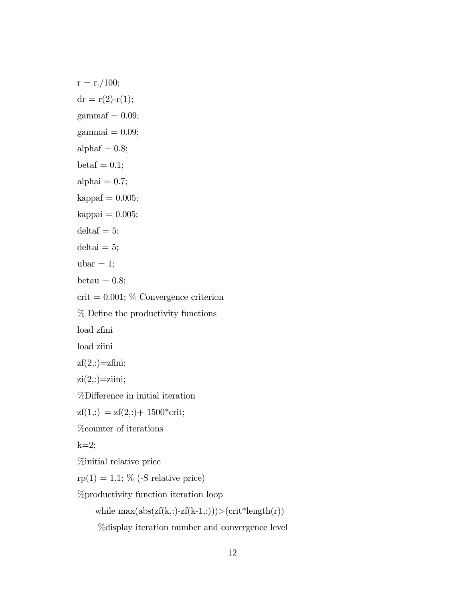$r = r./100;$  $dr = r(2)-r(1);$  $gamma = 0.09$ ;  $gamma = 0.09;$ alphaf  $= 0.8$ ;  $beta = 0.1;$ alphai  $= 0.7$ ;  $kappaf = 0.005;$  $kappai = 0.005;$  $delta = 5$ ;  $delta = 5;$  $ubar = 1;$ betau  $= 0.8$ ;  $crit = 0.001; %$  Convergence criterion % Define the productivity functions load zfini load ziini  $zf(2,:) = zfini;$  $zi(2,:) = zi$ iini; %Difference in initial iteration  $zf(1,:) = zf(2,:) + 1500*crit;$ %counter of iterations  $k=2$ ; %initial relative price  $rp(1) = 1.1; %$  (-S relative price) %productivity function iteration loop while  $\max(\text{abs}(\text{zf}(k,:)-\text{zf}(k-1,:)))\geq(\text{crit*length}(r))$ %display iteration number and convergence level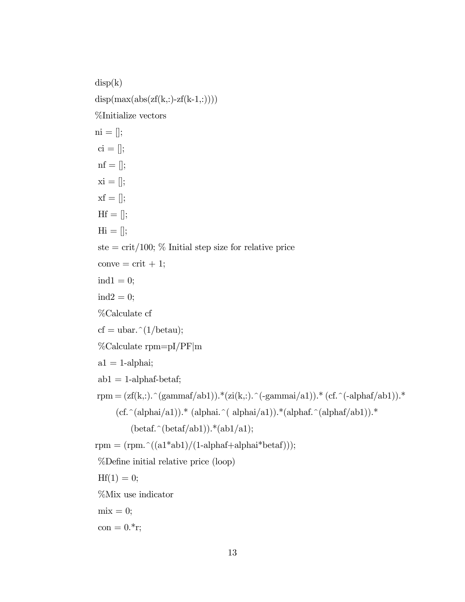$disp(k)$  $disp(max(abs(zf(k,:)-zf(k-1,:))))$ %Initialize vectors  $ni = []$ ;  $ci = []$ ;  $\text{nf} = []$ ;  $xi = []$ ;  $xf = []$ ;  $Hf = []$ ;  $\text{Hi} = []$ ; ste  $=$  crit/100; % Initial step size for relative price  $conve = crit + 1;$  $ind1 = 0;$  $ind2 = 0;$ %Calculate cf cf = ubar. $\hat{\;}$ (1/betau); %Calculate rpm=pI/PF|m  $a1 = 1$ -alphai;  $ab1 = 1$ -alphaf-betaf; rpm =  $(zf(k,:).\hat{ } (gamma/hk1))$ .\* $(zi(k,:).\hat{ } (gamma/hk1))$ .\*  $(ct.^(-alpha/hk1))$ .\*  $(cf.^(alpha/alphai/al))$ .\* (alphai.^( alphai/a1)).\*(alphaf.^(alphaf/ab1)).\*  $(\beta)$  (betaf.^(betaf/ab1)).\*(ab1/a1); rpm =  $(rpm.^(a1*ab1)/(1-alphaf+alpha*betaf))$ ; %Define initial relative price (loop)  $Hf(1) = 0;$ %Mix use indicator  $mix = 0;$  $con = 0.*r;$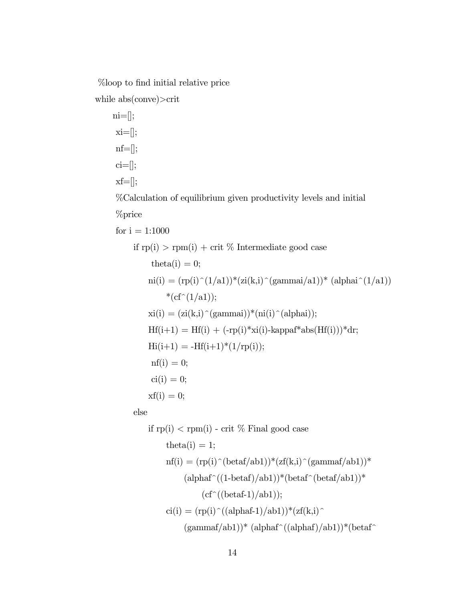%loop to find initial relative price

while abs(conve)>crit

ni=[];  $x_i = []$ ;  $nf = []$ ;  $ci=[];$  $xf=[];$ %Calculation of equilibrium given productivity levels and initial %price for  $i = 1:1000$ if  $rp(i) > rpm(i) + crit$  % Intermediate good case theta $(i) = 0$ ;  $ni(i) = (rp(i)^{(1/a1)})*(zi(k,i)^{(gamma/2ammai/a1)})*(alpha^2(1/a1))$ \* $(cf^(1/a1));$  $x_i(i) = (zi(k,i)^(gamma))*(ni(i)^(alpha));$  $Hf(i+1) = Hf(i) + (-rp(i)*xi(i)-kappa*abs(Hf(i))) * dr;$  $\text{Hi}(i+1) = -\text{Hf}(i+1)^*(1/\text{rp}(i));$  $nf(i) = 0;$  $ci(i) = 0;$  $xf(i) = 0;$ else if  $r_p(i) < r_p(i)$  - crit % Final good case

$$
P(1) < P(1) = C_1 t^{-\gamma_0} P(1) = C_2 t^{-\gamma_0} P(1) = C_1 t^{-\gamma_0} P(1) = (r p(i)^{-\gamma_0} (beta / ab1))^*(z f(k, i)^{-\gamma_0} (gamma / ab1))^*
$$
\n
$$
(alpha f^{-\gamma_0} (t - b \cdot t - a f)^* (b \cdot t - a f)^* (b \cdot t - a f)^* (b \cdot t - a f)^* (b \cdot t - a f)^* (b \cdot t - a f)^* (b \cdot t - a f)^* (b \cdot t - a f)^* (b \cdot t - a f)^* (b \cdot t - a f)^* (b \cdot t - a f)^* (b \cdot t - a f)^* (b \cdot t - a f)^* (b \cdot t - a f)^* (b \cdot t - a f)^* (b \cdot t - a f)^* (b \cdot t - a f)^* (b \cdot t - a f)^* (b \cdot t - a f)^* (b \cdot t - a f)^* (b \cdot t - a f)^* (b \cdot t - a f)^* (b \cdot t - a f)^* (b \cdot t - a f)^* (b \cdot t - a f)^* (b \cdot t - a f)^* (b \cdot t - a f)^* (b \cdot t - a f)^* (b \cdot t - a f)^* (b \cdot t - a f)^* (b \cdot t - a f)^* (b \cdot t - a f)^* (b \cdot t - a f)^* (b \cdot t - a f)^* (b \cdot t - a f)^* (b \cdot t - a f)^* (b \cdot t - a f)^* (b \cdot t - a f)^* (b \cdot t - a f)^* (b \cdot t - a f)^* (b \cdot t - a f)^* (b \cdot t - a f)^* (b \cdot t - a f)^* (b \cdot t - a f)^* (b \cdot t - a f)^* (b \cdot t - a f)^* (b \cdot t - a f)^* (b \cdot t - a f)^* (b \cdot t - a f)^* (b \cdot t - a f)^* (b \cdot t - a f)^* (b \cdot t - a f)^* (b \cdot t - a f)^* (b \cdot t - a f)^* (b \cdot t - a f)^* (b \cdot t - a f)^* (b \cdot t - a f)^* (b \cdot t - a f)^* (b \cdot t - a f)^* (b \cdot t - a f)^* (b \cdot t - a f)^* (b \cdot t - a f)^* (b \cdot t - a f)^* (b \cdot t - a f)^* (b \cdot t -
$$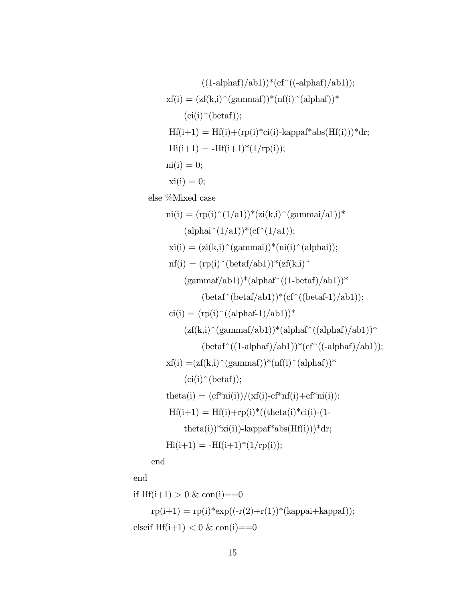((1-alphaf)/ab1))\*(cf^((-alphaf)/ab1)); xf(i) = (zf(k,i)^(gammaf))\*(nf(i)^(alphaf))\* (ci(i)^(betaf)); Hf(i+1) = Hf(i)+(rp(i)\*ci(i)-kappaf\*abs(Hf(i)))\*dr; Hi(i+1) = -Hf(i+1)\*(1/rp(i)); ni(i) = 0; xi(i) = 0; else %Mixed case ni(i) = (rp(i)^(1/a1))\*(zi(k,i)^(gammai/a1))\* (alphai^(1/a1))\*(cf^(1/a1)); xi(i) = (zi(k,i)^(gammai))\*(ni(i)^(alphai)); nf(i) = (rp(i)^(betaf/ab1))\*(zf(k,i)^ (gammaf/ab1))\*(alphaf^((1-betaf)/ab1))\* (betaf^(betaf/ab1))\*(cf^((betaf-1)/ab1)); ci(i) = (rp(i)^((alphaf-1)/ab1))\* (zf(k,i)^(gammaf/ab1))\*(alphaf^((alphaf)/ab1))\* (betaf^((1-alphaf)/ab1))\*(cf^((-alphaf)/ab1)); xf(i) =(zf(k,i)^(gammaf))\*(nf(i)^(alphaf))\* (ci(i)^(betaf)); theta(i) = (cf\*ni(i))/(xf(i)-cf\*nf(i)+cf\*ni(i)); Hf(i+1) = Hf(i)+rp(i)\*((theta(i)\*ci(i)-(1 theta(i))\*xi(i))-kappaf\*abs(Hf(i)))\*dr; Hi(i+1) = -Hf(i+1)\*(1/rp(i)); end end

if 
$$
Hf(i+1) > 0
$$
 &  $con(i) == 0$ \n
$$
rp(i+1) = rp(i) * exp((-r(2) + r(1)) * (kappa + kappa));
$$
\nelseif  $Hf(i+1) < 0$  &  $con(i) == 0$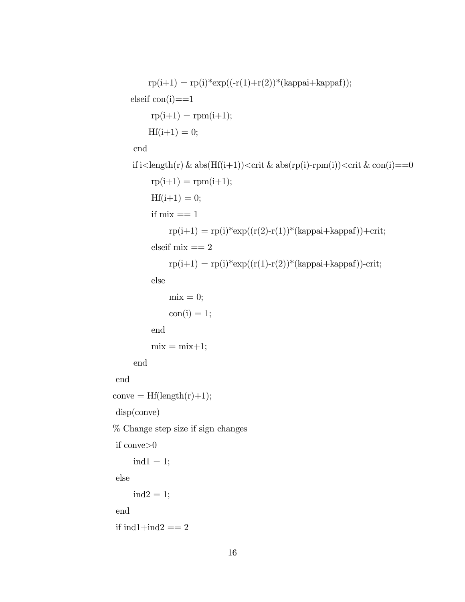```
rp(i+1) = rp(i)*exp((-r(1)+r(2))*(kappa+kappaf));elseif con(i)=1rp(i+1) = rpm(i+1);Hf(i+1) = 0;end
     if i\langlelength(r) & abs(Hf(i+1))\langlecrit & abs(rp(i)-rpm(i))\langlecrit & con(i)==0
           rp(i+1) = rpm(i+1);Hf(i+1) = 0;if mix == 1\text{rp}(i+1) = \text{rp}(i) \cdot \text{exp}((r(2)-r(1)) \cdot \text{kappa}i + \text{kappa}f)) + \text{crit};elseif mix == 2\text{rp}(i+1) = \text{rp}(i) * \exp((r(1)-r(2)) * (\text{kappa} + \text{kappa})) - \text{crit};else
                mix = 0;con(i) = 1;end
           mix = mix + 1;end
end
conve = Hf(length(r)+1);disp(conve)
% Change step size if sign changes
if conve>0
      ind1 = 1;else
      ind2 = 1;end
```

```
if ind1+ind2 == 2
```